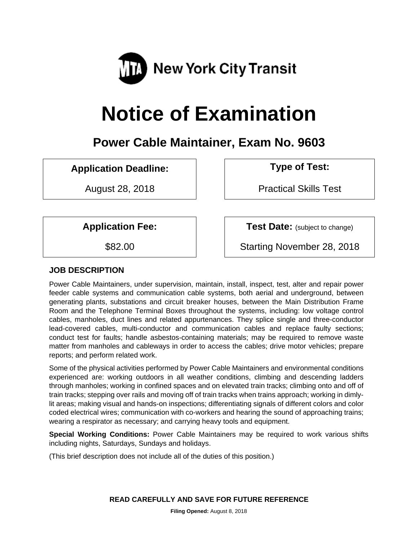

# **Notice of Examination**

## **Power Cable Maintainer, Exam No. 9603**

## **Application Deadline: Type of Test:**

August 28, 2018 | Practical Skills Test

**Application Fee:**  $\vert$  **Test Date:** (subject to change)

\$82.00 Starting November 28, 2018

## **JOB DESCRIPTION**

Power Cable Maintainers, under supervision, maintain, install, inspect, test, alter and repair power feeder cable systems and communication cable systems, both aerial and underground, between generating plants, substations and circuit breaker houses, between the Main Distribution Frame Room and the Telephone Terminal Boxes throughout the systems, including: low voltage control cables, manholes, duct lines and related appurtenances. They splice single and three-conductor lead-covered cables, multi-conductor and communication cables and replace faulty sections; conduct test for faults; handle asbestos-containing materials; may be required to remove waste matter from manholes and cableways in order to access the cables; drive motor vehicles; prepare reports; and perform related work.

Some of the physical activities performed by Power Cable Maintainers and environmental conditions experienced are: working outdoors in all weather conditions, climbing and descending ladders through manholes; working in confined spaces and on elevated train tracks; climbing onto and off of train tracks; stepping over rails and moving off of train tracks when trains approach; working in dimlylit areas; making visual and hands-on inspections; differentiating signals of different colors and color coded electrical wires; communication with co-workers and hearing the sound of approaching trains; wearing a respirator as necessary; and carrying heavy tools and equipment.

**Special Working Conditions:** Power Cable Maintainers may be required to work various shifts including nights, Saturdays, Sundays and holidays.

(This brief description does not include all of the duties of this position.)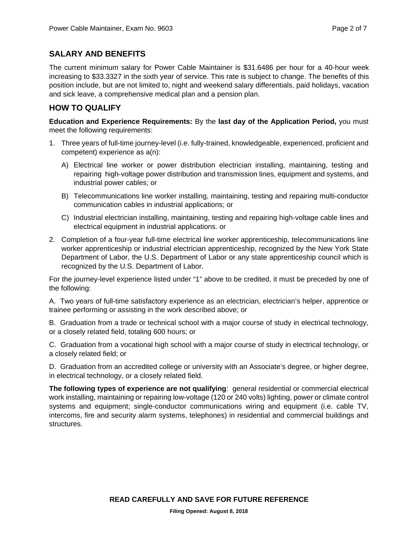## **SALARY AND BENEFITS**

The current minimum salary for Power Cable Maintainer is \$31.6486 per hour for a 40-hour week increasing to \$33.3327 in the sixth year of service. This rate is subject to change. The benefits of this position include, but are not limited to, night and weekend salary differentials, paid holidays, vacation and sick leave, a comprehensive medical plan and a pension plan.

## **HOW TO QUALIFY**

**Education and Experience Requirements:** By the **last day of the Application Period,** you must meet the following requirements:

- 1. Three years of full-time journey-level (i.e. fully-trained, knowledgeable, experienced, proficient and competent) experience as a(n):
	- A) Electrical line worker or power distribution electrician installing, maintaining, testing and repairing high-voltage power distribution and transmission lines, equipment and systems, and industrial power cables; or
	- B) Telecommunications line worker installing, maintaining, testing and repairing multi-conductor communication cables in industrial applications; or
	- C) Industrial electrician installing, maintaining, testing and repairing high-voltage cable lines and electrical equipment in industrial applications. or
- 2. Completion of a four-year full-time electrical line worker apprenticeship, telecommunications line worker apprenticeship or industrial electrician apprenticeship, recognized by the New York State Department of Labor, the U.S. Department of Labor or any state apprenticeship council which is recognized by the U.S. Department of Labor.

For the journey-level experience listed under "1" above to be credited, it must be preceded by one of the following:

A. Two years of full-time satisfactory experience as an electrician, electrician's helper, apprentice or trainee performing or assisting in the work described above; or

B. Graduation from a trade or technical school with a major course of study in electrical technology, or a closely related field, totaling 600 hours; or

C. Graduation from a vocational high school with a major course of study in electrical technology, or a closely related field; or

D. Graduation from an accredited college or university with an Associate's degree, or higher degree, in electrical technology, or a closely related field.

**The following types of experience are not qualifying**: general residential or commercial electrical work installing, maintaining or repairing low-voltage (120 or 240 volts) lighting, power or climate control systems and equipment; single-conductor communications wiring and equipment (i.e. cable TV, intercoms, fire and security alarm systems, telephones) in residential and commercial buildings and structures.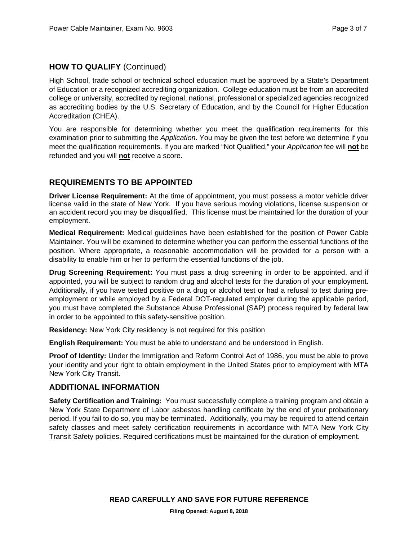## **HOW TO QUALIFY** (Continued)

High School, trade school or technical school education must be approved by a State's Department of Education or a recognized accrediting organization. College education must be from an accredited college or university, accredited by regional, national, professional or specialized agencies recognized as accrediting bodies by the U.S. Secretary of Education, and by the Council for Higher Education Accreditation (CHEA).

You are responsible for determining whether you meet the qualification requirements for this examination prior to submitting the *Application*. You may be given the test before we determine if you meet the qualification requirements. If you are marked "Not Qualified," your *Application* fee will **not** be refunded and you will **not** receive a score.

## **REQUIREMENTS TO BE APPOINTED**

**Driver License Requirement:** At the time of appointment, you must possess a motor vehicle driver license valid in the state of New York. If you have serious moving violations, license suspension or an accident record you may be disqualified. This license must be maintained for the duration of your employment.

**Medical Requirement:** Medical guidelines have been established for the position of Power Cable Maintainer. You will be examined to determine whether you can perform the essential functions of the position. Where appropriate, a reasonable accommodation will be provided for a person with a disability to enable him or her to perform the essential functions of the job.

**Drug Screening Requirement:** You must pass a drug screening in order to be appointed, and if appointed, you will be subject to random drug and alcohol tests for the duration of your employment. Additionally, if you have tested positive on a drug or alcohol test or had a refusal to test during preemployment or while employed by a Federal DOT-regulated employer during the applicable period, you must have completed the Substance Abuse Professional (SAP) process required by federal law in order to be appointed to this safety-sensitive position.

**Residency:** New York City residency is not required for this position

**English Requirement:** You must be able to understand and be understood in English.

**Proof of Identity:** Under the Immigration and Reform Control Act of 1986, you must be able to prove your identity and your right to obtain employment in the United States prior to employment with MTA New York City Transit.

## **ADDITIONAL INFORMATION**

**Safety Certification and Training:** You must successfully complete a training program and obtain a New York State Department of Labor asbestos handling certificate by the end of your probationary period. If you fail to do so, you may be terminated. Additionally, you may be required to attend certain safety classes and meet safety certification requirements in accordance with MTA New York City Transit Safety policies. Required certifications must be maintained for the duration of employment.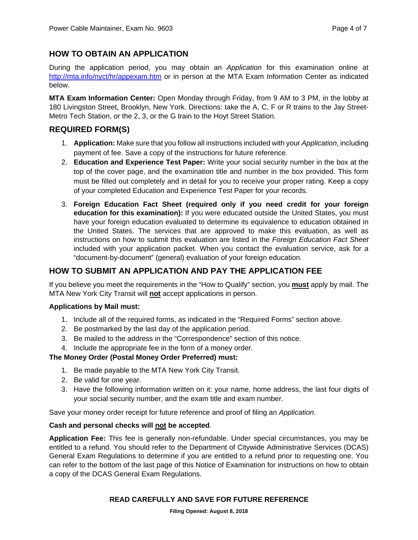## **HOW TO OBTAIN AN APPLICATION**

During the application period, you may obtain an *Application* for this examination online at http://mta.info/nyct/hr/appexam.htm or in person at the MTA Exam Information Center as indicated below.

**MTA Exam Information Center:** Open Monday through Friday, from 9 AM to 3 PM, in the lobby at 180 Livingston Street, Brooklyn, New York. Directions: take the A, C, F or R trains to the Jay Street-Metro Tech Station, or the 2, 3, or the G train to the Hoyt Street Station.

## **REQUIRED FORM(S)**

- 1. **Application:** Make sure that you follow all instructions included with your *Application*, including payment of fee. Save a copy of the instructions for future reference.
- 2. **Education and Experience Test Paper:** Write your social security number in the box at the top of the cover page, and the examination title and number in the box provided. This form must be filled out completely and in detail for you to receive your proper rating. Keep a copy of your completed Education and Experience Test Paper for your records.
- 3. **Foreign Education Fact Sheet (required only if you need credit for your foreign education for this examination):** If you were educated outside the United States, you must have your foreign education evaluated to determine its equivalence to education obtained in the United States. The services that are approved to make this evaluation, as well as instructions on how to submit this evaluation are listed in the *Foreign Education Fact Sheet* included with your application packet. When you contact the evaluation service, ask for a "document-by-document" (general) evaluation of your foreign education.

## **HOW TO SUBMIT AN APPLICATION AND PAY THE APPLICATION FEE**

If you believe you meet the requirements in the "How to Qualify" section, you **must** apply by mail. The MTA New York City Transit will **not** accept applications in person.

#### **Applications by Mail must:**

- 1. Include all of the required forms, as indicated in the "Required Forms" section above.
- 2. Be postmarked by the last day of the application period.
- 3. Be mailed to the address in the "Correspondence" section of this notice.
- 4. Include the appropriate fee in the form of a money order.

#### **The Money Order (Postal Money Order Preferred) must:**

- 1. Be made payable to the MTA New York City Transit.
- 2. Be valid for one year.
- 3. Have the following information written on it: your name, home address, the last four digits of your social security number, and the exam title and exam number.

Save your money order receipt for future reference and proof of filing an *Application*.

#### **Cash and personal checks will not be accepted**.

**Application Fee:** This fee is generally non-refundable. Under special circumstances, you may be entitled to a refund. You should refer to the Department of Citywide Administrative Services (DCAS) General Exam Regulations to determine if you are entitled to a refund prior to requesting one. You can refer to the bottom of the last page of this Notice of Examination for instructions on how to obtain a copy of the DCAS General Exam Regulations.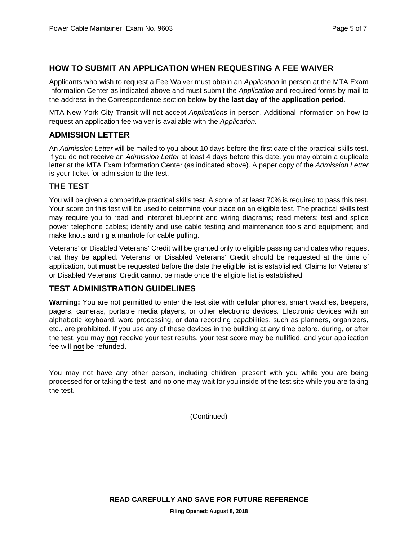## **HOW TO SUBMIT AN APPLICATION WHEN REQUESTING A FEE WAIVER**

Applicants who wish to request a Fee Waiver must obtain an *Application* in person at the MTA Exam Information Center as indicated above and must submit the *Application* and required forms by mail to the address in the Correspondence section below **by the last day of the application period**.

MTA New York City Transit will not accept *Applications* in person. Additional information on how to request an application fee waiver is available with the *Application.*

## **ADMISSION LETTER**

An *Admission Letter* will be mailed to you about 10 days before the first date of the practical skills test. If you do not receive an *Admission Letter* at least 4 days before this date, you may obtain a duplicate letter at the MTA Exam Information Center (as indicated above). A paper copy of the *Admission Letter* is your ticket for admission to the test.

## **THE TEST**

You will be given a competitive practical skills test. A score of at least 70% is required to pass this test. Your score on this test will be used to determine your place on an eligible test. The practical skills test may require you to read and interpret blueprint and wiring diagrams; read meters; test and splice power telephone cables; identify and use cable testing and maintenance tools and equipment; and make knots and rig a manhole for cable pulling.

Veterans' or Disabled Veterans' Credit will be granted only to eligible passing candidates who request that they be applied. Veterans' or Disabled Veterans' Credit should be requested at the time of application, but **must** be requested before the date the eligible list is established. Claims for Veterans' or Disabled Veterans' Credit cannot be made once the eligible list is established.

## **TEST ADMINISTRATION GUIDELINES**

**Warning:** You are not permitted to enter the test site with cellular phones, smart watches, beepers, pagers, cameras, portable media players, or other electronic devices. Electronic devices with an alphabetic keyboard, word processing, or data recording capabilities, such as planners, organizers, etc., are prohibited. If you use any of these devices in the building at any time before, during, or after the test, you may **not** receive your test results, your test score may be nullified, and your application fee will **not** be refunded.

You may not have any other person, including children, present with you while you are being processed for or taking the test, and no one may wait for you inside of the test site while you are taking the test.

(Continued)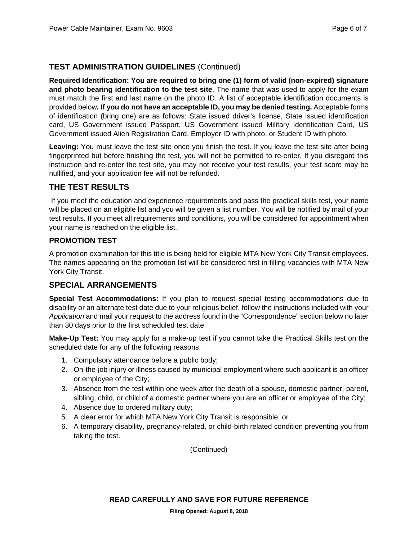## **TEST ADMINISTRATION GUIDELINES** (Continued)

**Required Identification: You are required to bring one (1) form of valid (non-expired) signature and photo bearing identification to the test site**. The name that was used to apply for the exam must match the first and last name on the photo ID. A list of acceptable identification documents is provided below**. If you do not have an acceptable ID, you may be denied testing.** Acceptable forms of identification (bring one) are as follows: State issued driver's license, State issued identification card, US Government issued Passport, US Government issued Military Identification Card, US Government issued Alien Registration Card, Employer ID with photo, or Student ID with photo.

**Leaving:** You must leave the test site once you finish the test. If you leave the test site after being fingerprinted but before finishing the test, you will not be permitted to re-enter. If you disregard this instruction and re-enter the test site, you may not receive your test results, your test score may be nullified, and your application fee will not be refunded.

## **THE TEST RESULTS**

If you meet the education and experience requirements and pass the practical skills test, your name will be placed on an eligible list and you will be given a list number. You will be notified by mail of your test results. If you meet all requirements and conditions, you will be considered for appointment when your name is reached on the eligible list..

## **PROMOTION TEST**

A promotion examination for this title is being held for eligible MTA New York City Transit employees. The names appearing on the promotion list will be considered first in filling vacancies with MTA New York City Transit.

## **SPECIAL ARRANGEMENTS**

**Special Test Accommodations:** If you plan to request special testing accommodations due to disability or an alternate test date due to your religious belief, follow the instructions included with your *Application* and mail your request to the address found in the "Correspondence" section below no later than 30 days prior to the first scheduled test date.

**Make-Up Test:** You may apply for a make-up test if you cannot take the Practical Skills test on the scheduled date for any of the following reasons:

- 1. Compulsory attendance before a public body;
- 2. On-the-job injury or illness caused by municipal employment where such applicant is an officer or employee of the City;
- 3. Absence from the test within one week after the death of a spouse, domestic partner, parent, sibling, child, or child of a domestic partner where you are an officer or employee of the City;
- 4. Absence due to ordered military duty;
- 5. A clear error for which MTA New York City Transit is responsible; or
- 6. A temporary disability, pregnancy-related, or child-birth related condition preventing you from taking the test.

(Continued)